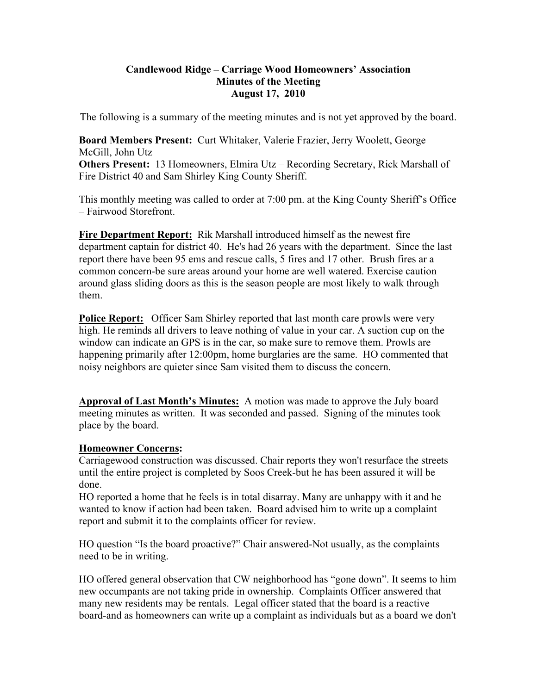#### **Candlewood Ridge – Carriage Wood Homeowners' Association Minutes of the Meeting August 17, 2010**

The following is a summary of the meeting minutes and is not yet approved by the board.

**Board Members Present:** Curt Whitaker, Valerie Frazier, Jerry Woolett, George McGill, John Utz **Others Present:** 13 Homeowners, Elmira Utz – Recording Secretary, Rick Marshall of Fire District 40 and Sam Shirley King County Sheriff.

This monthly meeting was called to order at 7:00 pm. at the King County Sheriff's Office – Fairwood Storefront.

**Fire Department Report:** Rik Marshall introduced himself as the newest fire department captain for district 40. He's had 26 years with the department. Since the last report there have been 95 ems and rescue calls, 5 fires and 17 other. Brush fires ar a common concern-be sure areas around your home are well watered. Exercise caution around glass sliding doors as this is the season people are most likely to walk through them.

**Police Report:** Officer Sam Shirley reported that last month care prowls were very high. He reminds all drivers to leave nothing of value in your car. A suction cup on the window can indicate an GPS is in the car, so make sure to remove them. Prowls are happening primarily after 12:00pm, home burglaries are the same. HO commented that noisy neighbors are quieter since Sam visited them to discuss the concern.

**Approval of Last Month's Minutes:** A motion was made to approve the July board meeting minutes as written. It was seconded and passed. Signing of the minutes took place by the board.

### **Homeowner Concerns:**

Carriagewood construction was discussed. Chair reports they won't resurface the streets until the entire project is completed by Soos Creek-but he has been assured it will be done.

HO reported a home that he feels is in total disarray. Many are unhappy with it and he wanted to know if action had been taken. Board advised him to write up a complaint report and submit it to the complaints officer for review.

HO question "Is the board proactive?" Chair answered-Not usually, as the complaints need to be in writing.

HO offered general observation that CW neighborhood has "gone down". It seems to him new occumpants are not taking pride in ownership. Complaints Officer answered that many new residents may be rentals. Legal officer stated that the board is a reactive board-and as homeowners can write up a complaint as individuals but as a board we don't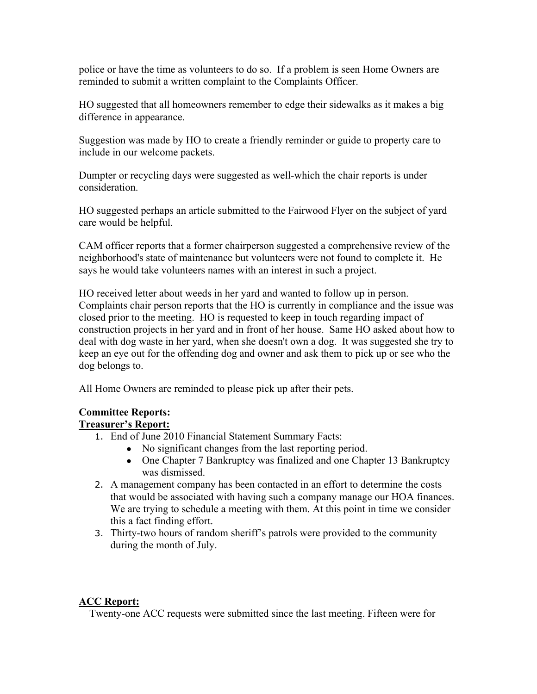police or have the time as volunteers to do so. If a problem is seen Home Owners are reminded to submit a written complaint to the Complaints Officer.

HO suggested that all homeowners remember to edge their sidewalks as it makes a big difference in appearance.

Suggestion was made by HO to create a friendly reminder or guide to property care to include in our welcome packets.

Dumpter or recycling days were suggested as well-which the chair reports is under consideration.

HO suggested perhaps an article submitted to the Fairwood Flyer on the subject of yard care would be helpful.

CAM officer reports that a former chairperson suggested a comprehensive review of the neighborhood's state of maintenance but volunteers were not found to complete it. He says he would take volunteers names with an interest in such a project.

HO received letter about weeds in her yard and wanted to follow up in person. Complaints chair person reports that the HO is currently in compliance and the issue was closed prior to the meeting. HO is requested to keep in touch regarding impact of construction projects in her yard and in front of her house. Same HO asked about how to deal with dog waste in her yard, when she doesn't own a dog. It was suggested she try to keep an eye out for the offending dog and owner and ask them to pick up or see who the dog belongs to.

All Home Owners are reminded to please pick up after their pets.

# **Committee Reports:**

### **Treasurer's Report:**

- 1. End of June 2010 Financial Statement Summary Facts:
	- No significant changes from the last reporting period.
	- One Chapter 7 Bankruptcy was finalized and one Chapter 13 Bankruptcy was dismissed.
- 2. A management company has been contacted in an effort to determine the costs that would be associated with having such a company manage our HOA finances. We are trying to schedule a meeting with them. At this point in time we consider this a fact finding effort.
- 3. Thirty-two hours of random sheriff's patrols were provided to the community during the month of July.

# **ACC Report:**

Twenty-one ACC requests were submitted since the last meeting. Fifteen were for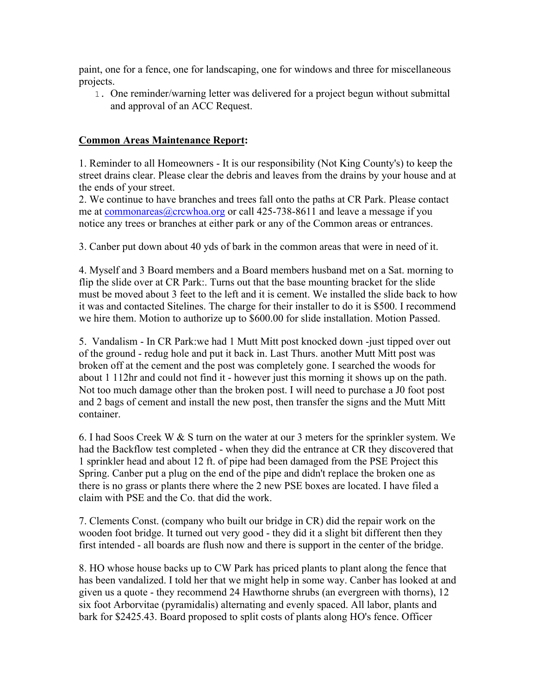paint, one for a fence, one for landscaping, one for windows and three for miscellaneous projects.

1. One reminder/warning letter was delivered for a project begun without submittal and approval of an ACC Request.

### **Common Areas Maintenance Report:**

1. Reminder to all Homeowners - It is our responsibility (Not King County's) to keep the street drains clear. Please clear the debris and leaves from the drains by your house and at the ends of your street.

2. We continue to have branches and trees fall onto the paths at CR Park. Please contact me at commonareas@crcwhoa.org or call 425-738-8611 and leave a message if you notice any trees or branches at either park or any of the Common areas or entrances.

3. Canber put down about 40 yds of bark in the common areas that were in need of it.

4. Myself and 3 Board members and a Board members husband met on a Sat. morning to flip the slide over at CR Park:. Turns out that the base mounting bracket for the slide must be moved about 3 feet to the left and it is cement. We installed the slide back to how it was and contacted Sitelines. The charge for their installer to do it is \$500. I recommend we hire them. Motion to authorize up to \$600.00 for slide installation. Motion Passed.

5. Vandalism - In CR Park:we had 1 Mutt Mitt post knocked down -just tipped over out of the ground - redug hole and put it back in. Last Thurs. another Mutt Mitt post was broken off at the cement and the post was completely gone. I searched the woods for about 1 112hr and could not find it - however just this morning it shows up on the path. Not too much damage other than the broken post. I will need to purchase a J0 foot post and 2 bags of cement and install the new post, then transfer the signs and the Mutt Mitt container.

6. I had Soos Creek W & S turn on the water at our 3 meters for the sprinkler system. We had the Backflow test completed - when they did the entrance at CR they discovered that 1 sprinkler head and about 12 ft. of pipe had been damaged from the PSE Project this Spring. Canber put a plug on the end of the pipe and didn't replace the broken one as there is no grass or plants there where the 2 new PSE boxes are located. I have filed a claim with PSE and the Co. that did the work.

7. Clements Const. (company who built our bridge in CR) did the repair work on the wooden foot bridge. It turned out very good - they did it a slight bit different then they first intended - all boards are flush now and there is support in the center of the bridge.

8. HO whose house backs up to CW Park has priced plants to plant along the fence that has been vandalized. I told her that we might help in some way. Canber has looked at and given us a quote - they recommend 24 Hawthorne shrubs (an evergreen with thorns), 12 six foot Arborvitae (pyramidalis) alternating and evenly spaced. All labor, plants and bark for \$2425.43. Board proposed to split costs of plants along HO's fence. Officer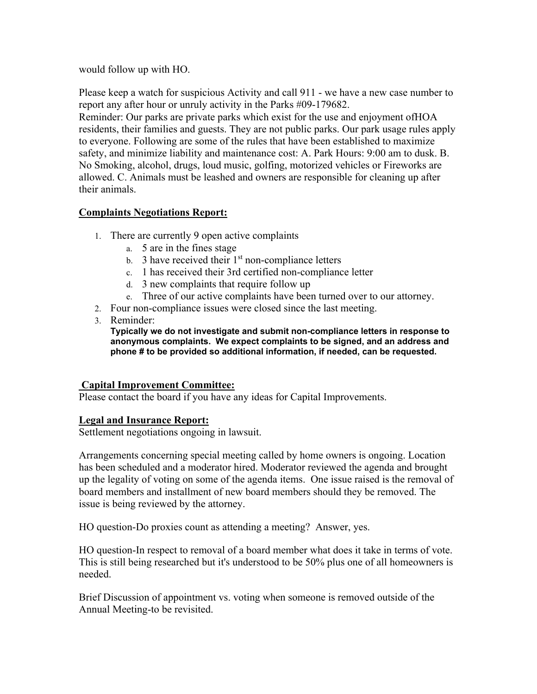would follow up with HO.

Please keep a watch for suspicious Activity and call 911 - we have a new case number to report any after hour or unruly activity in the Parks #09-179682.

Reminder: Our parks are private parks which exist for the use and enjoyment ofHOA residents, their families and guests. They are not public parks. Our park usage rules apply to everyone. Following are some of the rules that have been established to maximize safety, and minimize liability and maintenance cost: A. Park Hours: 9:00 am to dusk. B. No Smoking, alcohol, drugs, loud music, golfing, motorized vehicles or Fireworks are allowed. C. Animals must be leashed and owners are responsible for cleaning up after their animals.

### **Complaints Negotiations Report:**

- 1. There are currently 9 open active complaints
	- a. 5 are in the fines stage
	- b. 3 have received their  $1<sup>st</sup>$  non-compliance letters
	- c. 1 has received their 3rd certified non-compliance letter
	- d. 3 new complaints that require follow up
	- e. Three of our active complaints have been turned over to our attorney.
- 2. Four non-compliance issues were closed since the last meeting.
- 3. Reminder:

**Typically we do not investigate and submit non-compliance letters in response to anonymous complaints. We expect complaints to be signed, and an address and phone # to be provided so additional information, if needed, can be requested.** 

#### **Capital Improvement Committee:**

Please contact the board if you have any ideas for Capital Improvements.

### **Legal and Insurance Report:**

Settlement negotiations ongoing in lawsuit.

Arrangements concerning special meeting called by home owners is ongoing. Location has been scheduled and a moderator hired. Moderator reviewed the agenda and brought up the legality of voting on some of the agenda items. One issue raised is the removal of board members and installment of new board members should they be removed. The issue is being reviewed by the attorney.

HO question-Do proxies count as attending a meeting? Answer, yes.

HO question-In respect to removal of a board member what does it take in terms of vote. This is still being researched but it's understood to be 50% plus one of all homeowners is needed.

Brief Discussion of appointment vs. voting when someone is removed outside of the Annual Meeting-to be revisited.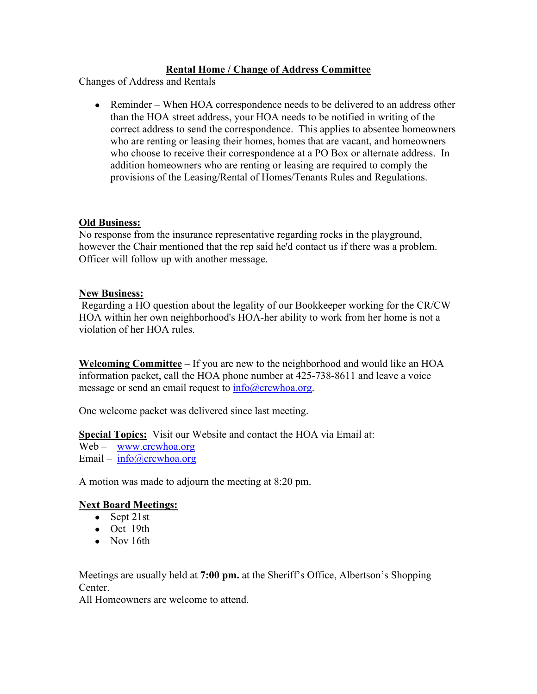### **Rental Home / Change of Address Committee**

Changes of Address and Rentals

• Reminder – When HOA correspondence needs to be delivered to an address other than the HOA street address, your HOA needs to be notified in writing of the correct address to send the correspondence. This applies to absentee homeowners who are renting or leasing their homes, homes that are vacant, and homeowners who choose to receive their correspondence at a PO Box or alternate address. In addition homeowners who are renting or leasing are required to comply the provisions of the Leasing/Rental of Homes/Tenants Rules and Regulations.

#### **Old Business:**

No response from the insurance representative regarding rocks in the playground, however the Chair mentioned that the rep said he'd contact us if there was a problem. Officer will follow up with another message.

#### **New Business:**

 Regarding a HO question about the legality of our Bookkeeper working for the CR/CW HOA within her own neighborhood's HOA-her ability to work from her home is not a violation of her HOA rules.

**Welcoming Committee** – If you are new to the neighborhood and would like an HOA information packet, call the HOA phone number at 425-738-8611 and leave a voice message or send an email request to info@crcwhoa.org.

One welcome packet was delivered since last meeting.

**Special Topics:** Visit our Website and contact the HOA via Email at:

Web – www.crcwhoa.org

Email – info@crcwhoa.org

A motion was made to adjourn the meeting at 8:20 pm.

### **Next Board Meetings:**

- $\bullet$  Sept 21st
- Oct 19th
- Nov 16th

Meetings are usually held at **7:00 pm.** at the Sheriff's Office, Albertson's Shopping Center.

All Homeowners are welcome to attend.